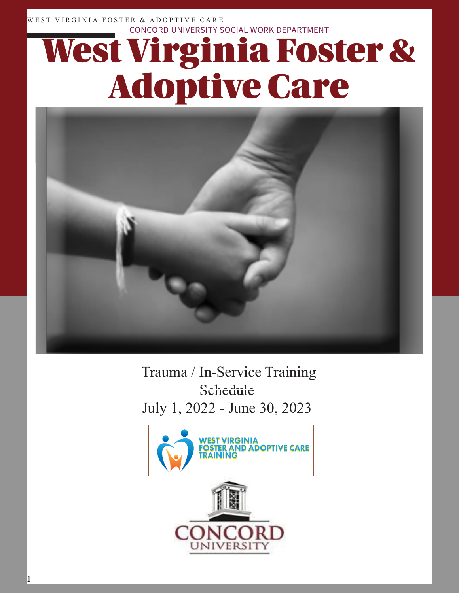WEST VIRGINIA FOSTER & ADOPTIVE CARE CONCORD UNIVERSITY SOCIAL WORK DEPARTMENT

# West Virginia Foster & Adoptive Care



 Trauma / In-Service Training Schedule July 1, 2022 - June 30, 2023

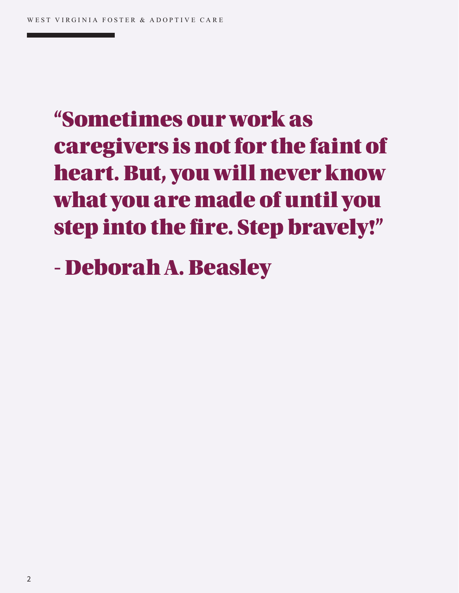# "Sometimes our work as caregivers is not for the faint of heart. But, you will never know what you are made of until you step into the fire. Step bravely!"

- Deborah A. Beasley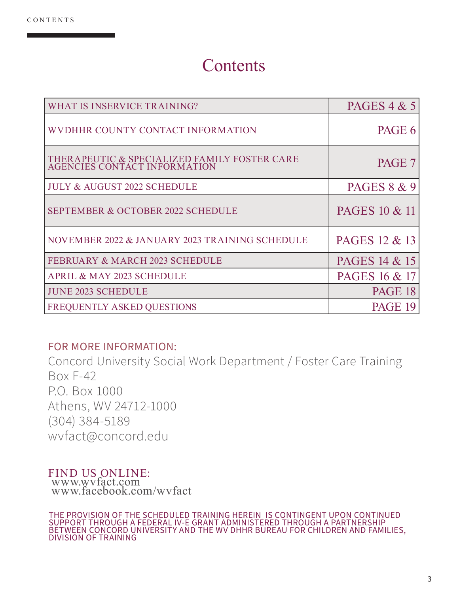#### **Contents**

| <b>WHAT IS INSERVICE TRAINING?</b>                                           | PAGES $4 & 5$          |
|------------------------------------------------------------------------------|------------------------|
| WVDHHR COUNTY CONTACT INFORMATION                                            | PAGE 6                 |
| THERAPEUTIC & SPECIALIZED FAMILY FOSTER CARE<br>AGENCIES CONTACT INFORMATION | PAGE 7                 |
| <b>JULY &amp; AUGUST 2022 SCHEDULE</b>                                       | <b>PAGES 8 &amp; 9</b> |
| <b>SEPTEMBER &amp; OCTOBER 2022 SCHEDULE</b>                                 | PAGES 10 & 11          |
| NOVEMBER 2022 & JANUARY 2023 TRAINING SCHEDULE                               | PAGES 12 & 13          |
| <b>FEBRUARY &amp; MARCH 2023 SCHEDULE</b>                                    | PAGES 14 & 15          |
| APRIL & MAY 2023 SCHEDULE                                                    | PAGES 16 & 17          |
| <b>JUNE 2023 SCHEDULE</b>                                                    | PAGE 18                |
| FREQUENTLY ASKED QUESTIONS                                                   | PAGE 19                |

#### FOR MORE INFORMATION:

Concord University Social Work Department / Foster Care Training Box F-42 P.O. Box 1000 Athens, WV 24712-1000 (304) 384-5189 wvfact@concord.edu

#### FIND US ONLINE: www.wvfact.com www.facebook.com/wvfact

THE PROVISION OF THE SCHEDULED TRAINING HEREIN IS CONTINGENT UPON CONTINUED SUPPORT THROUGH A FEDERAL IV-E GRANT ADMINISTERED THROUGH A PARTNERSHIP BETWEEN CONCORD UNIVERSITY AND THE WV DHHR BUREAU FOR CHILDREN AND FAMILIES, DIVISION OF TRAINING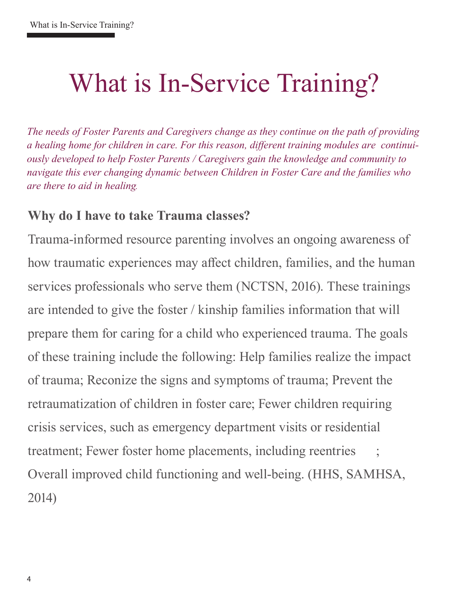# What is In-Service Training?

*The needs of Foster Parents and Caregivers change as they continue on the path of providing a healing home for children in care. For this reason, different training modules are continuiously developed to help Foster Parents / Caregivers gain the knowledge and community to navigate this ever changing dynamic between Children in Foster Care and the families who are there to aid in healing.* 

#### **Why do I have to take Trauma classes?**

Trauma-informed resource parenting involves an ongoing awareness of how traumatic experiences may affect children, families, and the human services professionals who serve them (NCTSN, 2016). These trainings are intended to give the foster / kinship families information that will prepare them for caring for a child who experienced trauma. The goals of these training include the following: Help families realize the impact of trauma; Reconize the signs and symptoms of trauma; Prevent the retraumatization of children in foster care; Fewer children requiring crisis services, such as emergency department visits or residential treatment; Fewer foster home placements, including reentries ; Overall improved child functioning and well-being. (HHS, SAMHSA, 2014)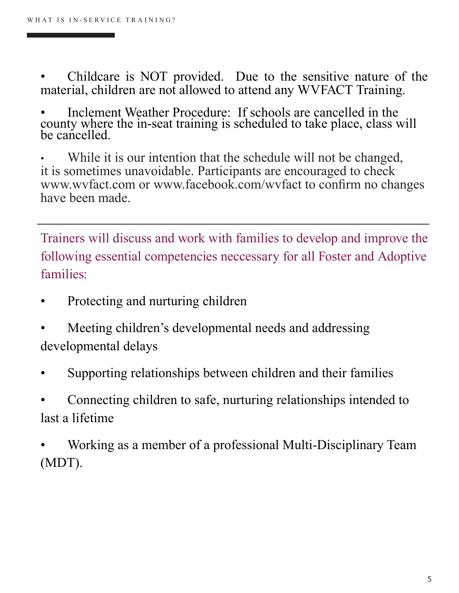- Childcare is NOT provided. Due to the sensitive nature of the material, children are not allowed to attend any WVFACT Training.
- Inclement Weather Procedure: If schools are cancelled in the county where the in-seat training is scheduled to take place, class will be cancelled.
- While it is our intention that the schedule will not be changed, it is sometimes unavoidable. Participants are encouraged to check www.wvfact.com or www.facebook.com/wvfact to confirm no changes have been made.

Trainers will discuss and work with families to develop and improve the following essential competencies neccessary for all Foster and Adoptive families:

- Protecting and nurturing children
- Meeting children's developmental needs and addressing developmental delays
- Supporting relationships between children and their families
- Connecting children to safe, nurturing relationships intended to last a lifetime
- Working as a member of a professional Multi-Disciplinary Team (MDT).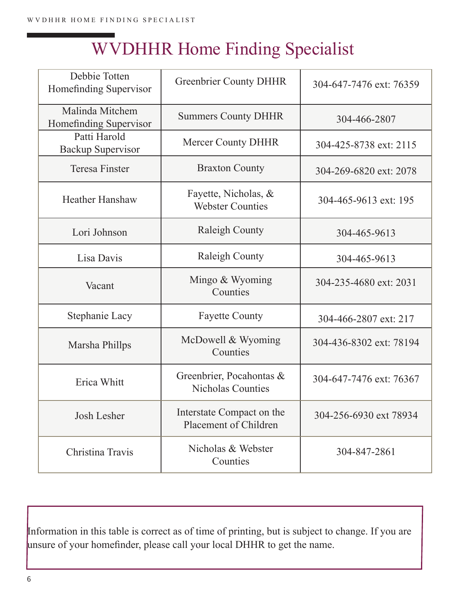## WVDHHR Home Finding Specialist

| Debbie Totten<br>Homefinding Supervisor   | <b>Greenbrier County DHHR</b>                        | 304-647-7476 ext: 76359 |
|-------------------------------------------|------------------------------------------------------|-------------------------|
| Malinda Mitchem<br>Homefinding Supervisor | <b>Summers County DHHR</b>                           | 304-466-2807            |
| Patti Harold<br><b>Backup Supervisor</b>  | Mercer County DHHR                                   | 304-425-8738 ext: 2115  |
| <b>Teresa Finster</b>                     | <b>Braxton County</b>                                | 304-269-6820 ext: 2078  |
| <b>Heather Hanshaw</b>                    | Fayette, Nicholas, &<br><b>Webster Counties</b>      | 304-465-9613 ext: 195   |
| Lori Johnson                              | <b>Raleigh County</b>                                | 304-465-9613            |
| Lisa Davis                                | Raleigh County                                       | 304-465-9613            |
| Vacant                                    | Mingo & Wyoming<br>Counties                          | 304-235-4680 ext: 2031  |
| Stephanie Lacy                            | <b>Fayette County</b>                                | 304-466-2807 ext: 217   |
| Marsha Phillps                            | McDowell & Wyoming<br>Counties                       | 304-436-8302 ext: 78194 |
| Erica Whitt                               | Greenbrier, Pocahontas &<br><b>Nicholas Counties</b> | 304-647-7476 ext: 76367 |
| Josh Lesher                               | Interstate Compact on the<br>Placement of Children   | 304-256-6930 ext 78934  |
| Christina Travis                          | Nicholas & Webster<br>Counties                       | 304-847-2861            |

Information in this table is correct as of time of printing, but is subject to change. If you are unsure of your homefinder, please call your local DHHR to get the name.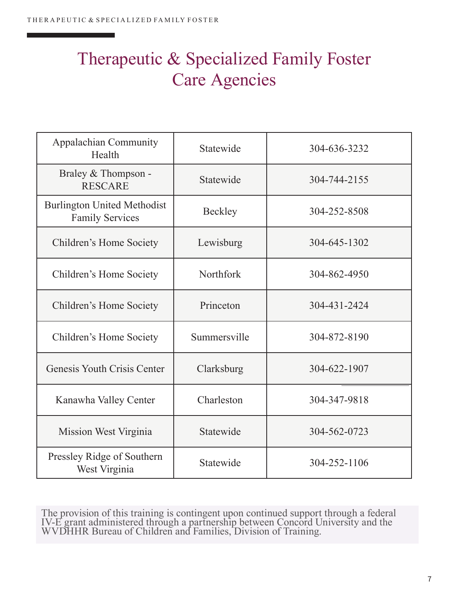### Therapeutic & Specialized Family Foster Care Agencies

| <b>Appalachian Community</b><br>Health                       | Statewide    | 304-636-3232 |
|--------------------------------------------------------------|--------------|--------------|
| Braley & Thompson -<br><b>RESCARE</b>                        | Statewide    | 304-744-2155 |
| <b>Burlington United Methodist</b><br><b>Family Services</b> | Beckley      | 304-252-8508 |
| Children's Home Society                                      | Lewisburg    | 304-645-1302 |
| Children's Home Society                                      | Northfork    | 304-862-4950 |
| Children's Home Society                                      | Princeton    | 304-431-2424 |
| Children's Home Society                                      | Summersville | 304-872-8190 |
| Genesis Youth Crisis Center                                  | Clarksburg   | 304-622-1907 |
| Kanawha Valley Center                                        | Charleston   | 304-347-9818 |
| Mission West Virginia                                        | Statewide    | 304-562-0723 |
| Pressley Ridge of Southern<br>West Virginia                  | Statewide    | 304-252-1106 |

The provision of this training is contingent upon continued support through a federal IV-E grant administered through a partnership between Concord University and the<br>WVDHHR Bureau of Children and Families, Division of Training.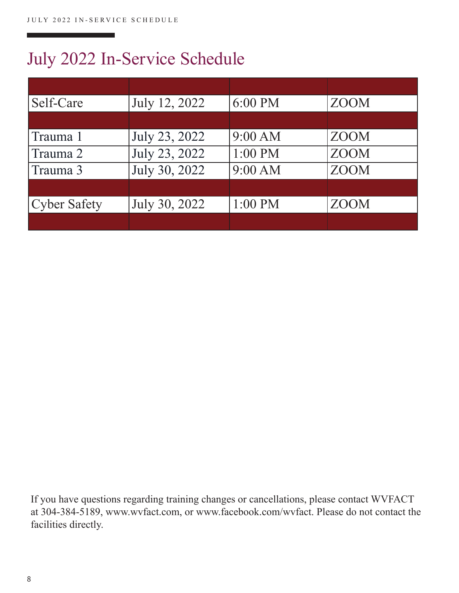### July 2022 In-Service Schedule

| Self-Care           | July 12, 2022 | 6:00 PM   | <b>ZOOM</b> |
|---------------------|---------------|-----------|-------------|
|                     |               |           |             |
| Trauma 1            | July 23, 2022 | 9:00 AM   | <b>ZOOM</b> |
| Trauma 2            | July 23, 2022 | $1:00$ PM | <b>ZOOM</b> |
| Trauma 3            | July 30, 2022 | 9:00 AM   | <b>ZOOM</b> |
|                     |               |           |             |
| <b>Cyber Safety</b> | July 30, 2022 | $1:00$ PM | <b>ZOOM</b> |
|                     |               |           |             |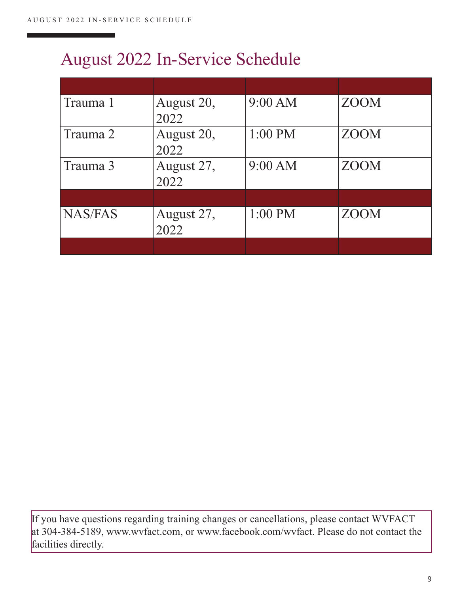### August 2022 In-Service Schedule

| Trauma 1       | August 20,         | 9:00 AM | <b>ZOOM</b> |
|----------------|--------------------|---------|-------------|
|                | 2022               |         |             |
| Trauma 2       | August 20,<br>2022 | 1:00 PM | <b>ZOOM</b> |
| Trauma 3       | August 27,<br>2022 | 9:00 AM | <b>ZOOM</b> |
|                |                    |         |             |
| <b>NAS/FAS</b> | August 27,<br>2022 | 1:00 PM | <b>ZOOM</b> |
|                |                    |         |             |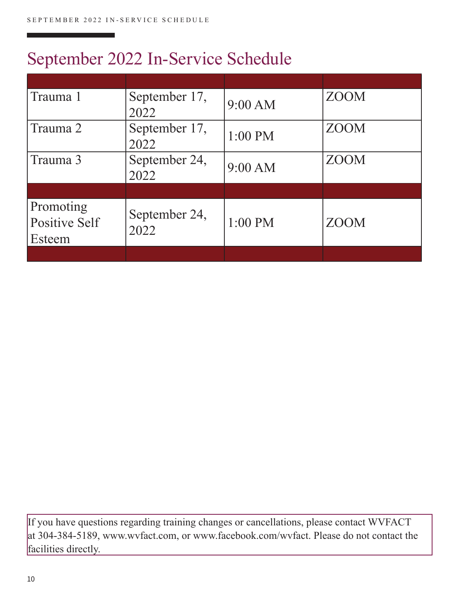### September 2022 In-Service Schedule

| Trauma 1                             | September 17,<br>2022 | 9:00 AM   | <b>ZOOM</b> |
|--------------------------------------|-----------------------|-----------|-------------|
| Trauma 2                             | September 17,<br>2022 | $1:00$ PM | <b>ZOOM</b> |
| Trauma 3                             | September 24,<br>2022 | 9:00 AM   | <b>ZOOM</b> |
|                                      |                       |           |             |
| Promoting<br>Positive Self<br>Esteem | September 24,<br>2022 | 1:00 PM   | <b>ZOOM</b> |
|                                      |                       |           |             |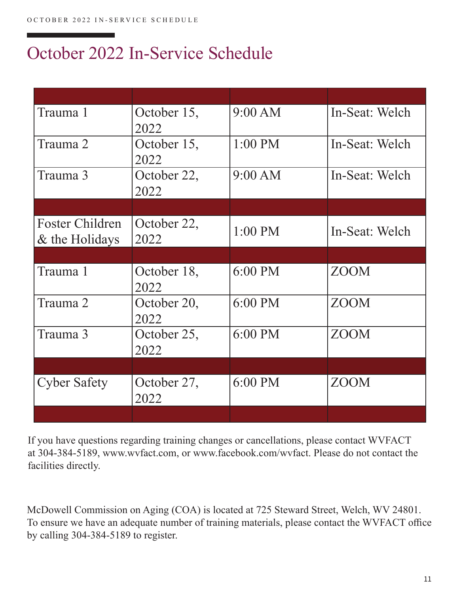### October 2022 In-Service Schedule

| Trauma 1                                 | October 15,<br>2022 | 9:00 AM   | In-Seat: Welch |
|------------------------------------------|---------------------|-----------|----------------|
| Trauma 2                                 | October 15,<br>2022 | $1:00$ PM | In-Seat: Welch |
| Trauma 3                                 | October 22,<br>2022 | 9:00 AM   | In-Seat: Welch |
|                                          |                     |           |                |
| <b>Foster Children</b><br>& the Holidays | October 22,<br>2022 | $1:00$ PM | In-Seat: Welch |
|                                          |                     |           |                |
| Trauma 1                                 | October 18,<br>2022 | 6:00 PM   | <b>ZOOM</b>    |
| Trauma 2                                 | October 20,<br>2022 | 6:00 PM   | <b>ZOOM</b>    |
| Trauma 3                                 | October 25,<br>2022 | 6:00 PM   | <b>ZOOM</b>    |
|                                          |                     |           |                |
| <b>Cyber Safety</b>                      | October 27,<br>2022 | 6:00 PM   | ZOOM           |
|                                          |                     |           |                |

If you have questions regarding training changes or cancellations, please contact WVFACT at 304-384-5189, www.wvfact.com, or www.facebook.com/wvfact. Please do not contact the facilities directly.

McDowell Commission on Aging (COA) is located at 725 Steward Street, Welch, WV 24801. To ensure we have an adequate number of training materials, please contact the WVFACT office by calling 304-384-5189 to register.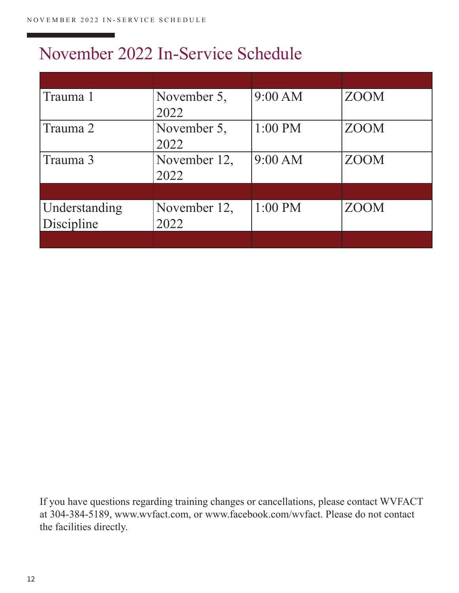#### November 2022 In-Service Schedule

| Trauma 1      | November 5,  | 9:00 AM   | <b>ZOOM</b> |
|---------------|--------------|-----------|-------------|
|               | 2022         |           |             |
| Trauma 2      | November 5,  | $1:00$ PM | <b>ZOOM</b> |
|               | 2022         |           |             |
| Trauma 3      | November 12, | 9:00 AM   | <b>ZOOM</b> |
|               | 2022         |           |             |
|               |              |           |             |
| Understanding | November 12, | $1:00$ PM | <b>ZOOM</b> |
| Discipline    | 2022         |           |             |
|               |              |           |             |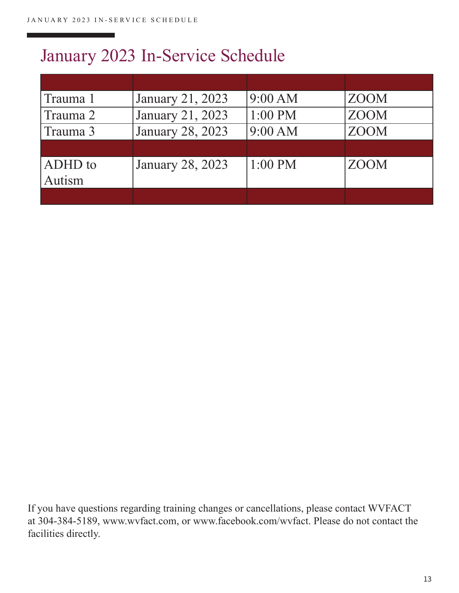### January 2023 In-Service Schedule

| Trauma 1       | January 21, 2023        | 9:00 AM   | <b>ZOOM</b> |
|----------------|-------------------------|-----------|-------------|
| Trauma 2       | January 21, 2023        | 1:00 PM   | <b>ZOOM</b> |
| Trauma 3       | January 28, 2023        | 9:00 AM   | <b>ZOOM</b> |
|                |                         |           |             |
| <b>ADHD</b> to | <b>January 28, 2023</b> | $1:00$ PM | <b>ZOOM</b> |
| Autism         |                         |           |             |
|                |                         |           |             |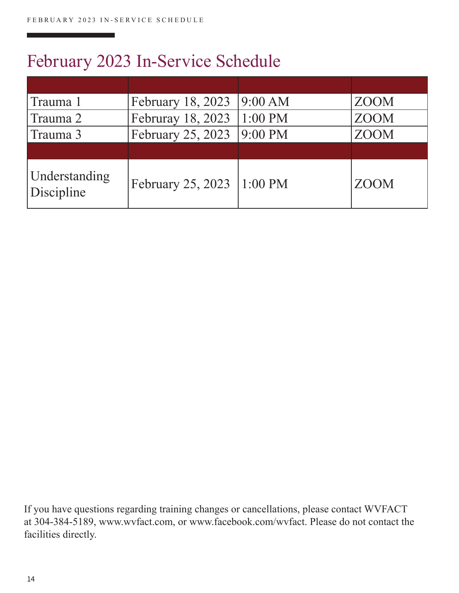### February 2023 In-Service Schedule

| Trauma 1                           | February 18, 2023 | 9:00 AM   | <b>ZOOM</b> |
|------------------------------------|-------------------|-----------|-------------|
| Trauma 2                           | Februray 18, 2023 | $1:00$ PM | <b>ZOOM</b> |
| Trauma 3                           | February 25, 2023 | 9:00 PM   | <b>ZOOM</b> |
|                                    |                   |           |             |
| <b>Understanding</b><br>Discipline | February 25, 2023 | $1:00$ PM | <b>ZOOM</b> |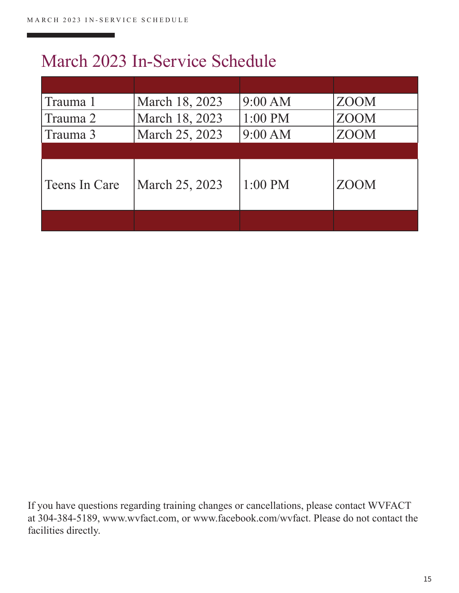#### March 2023 In-Service Schedule

| Trauma 1      | March 18, 2023 | 9:00 AM   | <b>ZOOM</b> |
|---------------|----------------|-----------|-------------|
| Trauma 2      | March 18, 2023 | $1:00$ PM | <b>ZOOM</b> |
| Trauma 3      | March 25, 2023 | 9:00 AM   | <b>ZOOM</b> |
|               |                |           |             |
| Teens In Care | March 25, 2023 | $1:00$ PM | <b>ZOOM</b> |
|               |                |           |             |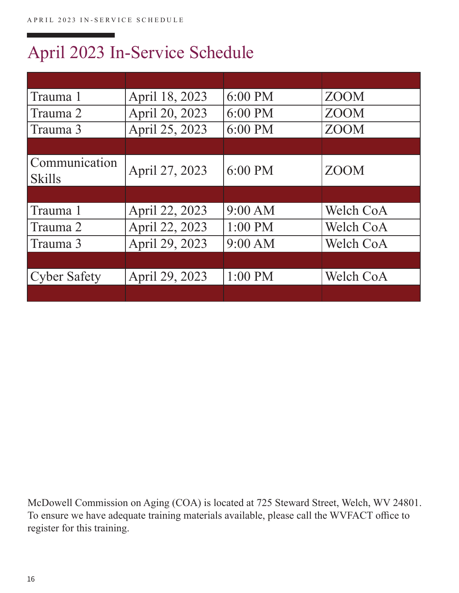### April 2023 In-Service Schedule

| Trauma 1                       | April 18, 2023 | $6:00 \text{ PM}$ | <b>ZOOM</b>      |
|--------------------------------|----------------|-------------------|------------------|
| Trauma 2                       | April 20, 2023 | 6:00 PM           | <b>ZOOM</b>      |
| Trauma 3                       | April 25, 2023 | 6:00 PM           | <b>ZOOM</b>      |
|                                |                |                   |                  |
| Communication<br><b>Skills</b> | April 27, 2023 | $6:00$ PM         | <b>ZOOM</b>      |
|                                |                |                   |                  |
| Trauma 1                       | April 22, 2023 | 9:00 AM           | <b>Welch CoA</b> |
|                                |                |                   |                  |
| Trauma 2                       | April 22, 2023 | $1:00$ PM         | Welch CoA        |
| Trauma 3                       | April 29, 2023 | 9:00 AM           | Welch CoA        |
|                                |                |                   |                  |
| <b>Cyber Safety</b>            | April 29, 2023 | $1:00$ PM         | Welch CoA        |

McDowell Commission on Aging (COA) is located at 725 Steward Street, Welch, WV 24801. To ensure we have adequate training materials available, please call the WVFACT office to register for this training.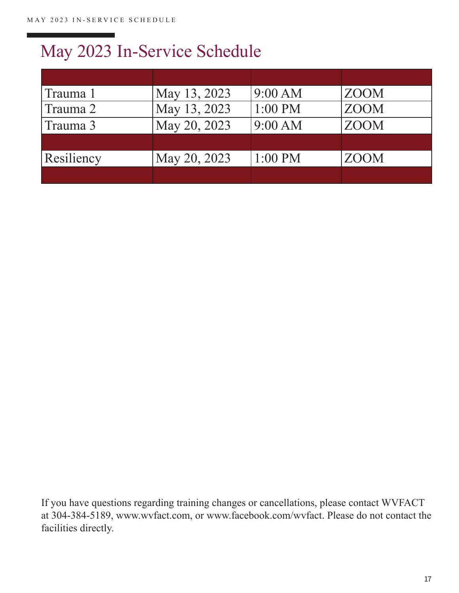## May 2023 In-Service Schedule

| Trauma 1   | May 13, 2023 | 9:00 AM   | <b>ZOOM</b> |
|------------|--------------|-----------|-------------|
| Trauma 2   | May 13, 2023 | $1:00$ PM | <b>ZOOM</b> |
| Trauma 3   | May 20, 2023 | 9:00 AM   | <b>ZOOM</b> |
|            |              |           |             |
| Resiliency | May 20, 2023 | $1:00$ PM | <b>ZOOM</b> |
|            |              |           |             |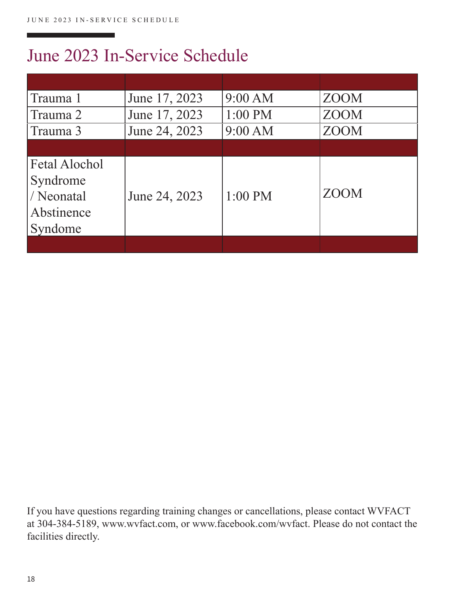#### June 2023 In-Service Schedule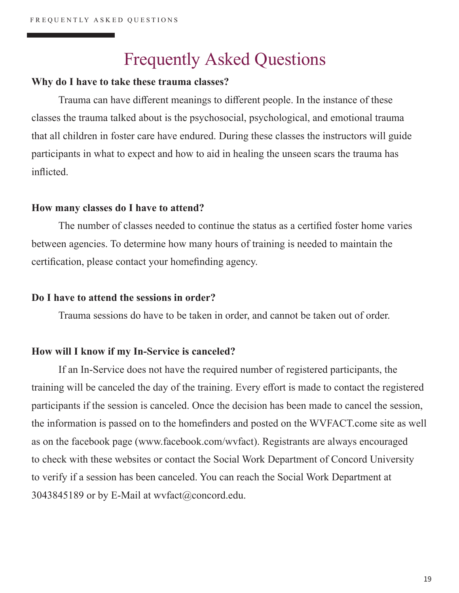#### Frequently Asked Questions

#### **Why do I have to take these trauma classes?**

Trauma can have different meanings to different people. In the instance of these classes the trauma talked about is the psychosocial, psychological, and emotional trauma that all children in foster care have endured. During these classes the instructors will guide participants in what to expect and how to aid in healing the unseen scars the trauma has inflicted.

#### **How many classes do I have to attend?**

The number of classes needed to continue the status as a certified foster home varies between agencies. To determine how many hours of training is needed to maintain the certification, please contact your homefinding agency.

#### **Do I have to attend the sessions in order?**

Trauma sessions do have to be taken in order, and cannot be taken out of order.

#### **How will I know if my In-Service is canceled?**

If an In-Service does not have the required number of registered participants, the training will be canceled the day of the training. Every effort is made to contact the registered participants if the session is canceled. Once the decision has been made to cancel the session, the information is passed on to the homefinders and posted on the WVFACT.come site as well as on the facebook page (www.facebook.com/wvfact). Registrants are always encouraged to check with these websites or contact the Social Work Department of Concord University to verify if a session has been canceled. You can reach the Social Work Department at 3043845189 or by E-Mail at wvfact@concord.edu.